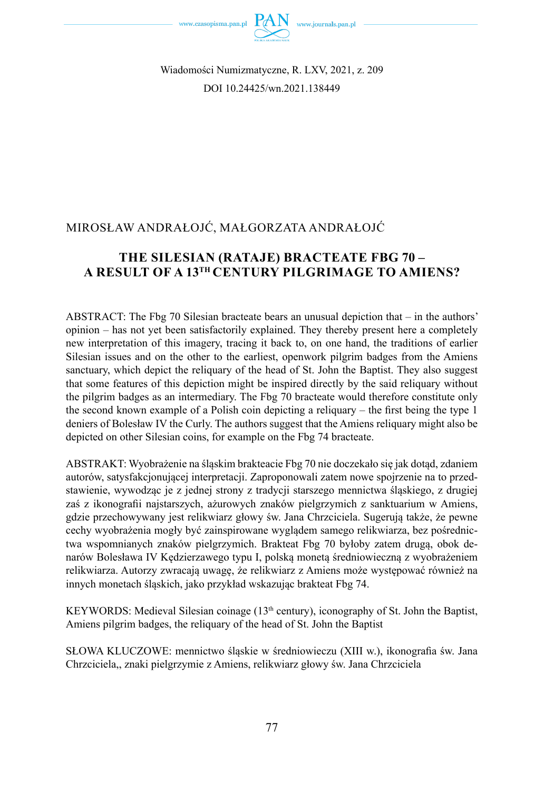

Wiadomości Numizmatyczne, R. LXV, 2021, z. 209 DOI 10.24425/wn.2021.138449

# MIROSŁAW ANDRAŁOJĆ, MAŁGORZATA ANDRAŁOJĆ

## **THE SILESIAN (RATAJE) BRACTEATE FBG 70 – A RESULT OF A 13TH CENTURY PILGRIMAGE TO AMIENS?**

ABSTRACT: The Fbg 70 Silesian bracteate bears an unusual depiction that – in the authors' opinion – has not yet been satisfactorily explained. They thereby present here a completely new interpretation of this imagery, tracing it back to, on one hand, the traditions of earlier Silesian issues and on the other to the earliest, openwork pilgrim badges from the Amiens sanctuary, which depict the reliquary of the head of St. John the Baptist. They also suggest that some features of this depiction might be inspired directly by the said reliquary without the pilgrim badges as an intermediary. The Fbg 70 bracteate would therefore constitute only the second known example of a Polish coin depicting a reliquary – the first being the type 1 deniers of Bolesław IV the Curly. The authors suggest that the Amiens reliquary might also be depicted on other Silesian coins, for example on the Fbg 74 bracteate.

ABSTRAKT: Wyobrażenie na śląskim brakteacie Fbg 70 nie doczekało się jak dotąd, zdaniem autorów, satysfakcjonującej interpretacji. Zaproponowali zatem nowe spojrzenie na to przedstawienie, wywodząc je z jednej strony z tradycji starszego mennictwa śląskiego, z drugiej zaś z ikonografii najstarszych, ażurowych znaków pielgrzymich z sanktuarium w Amiens, gdzie przechowywany jest relikwiarz głowy św. Jana Chrzciciela. Sugerują także, że pewne cechy wyobrażenia mogły być zainspirowane wyglądem samego relikwiarza, bez pośrednictwa wspomnianych znaków pielgrzymich. Brakteat Fbg 70 byłoby zatem drugą, obok denarów Bolesława IV Kędzierzawego typu I, polską monetą średniowieczną z wyobrażeniem relikwiarza. Autorzy zwracają uwagę, że relikwiarz z Amiens może występować również na innych monetach śląskich, jako przykład wskazując brakteat Fbg 74.

KEYWORDS: Medieval Silesian coinage (13<sup>th</sup> century), iconography of St. John the Baptist, Amiens pilgrim badges, the reliquary of the head of St. John the Baptist

SŁOWA KLUCZOWE: mennictwo śląskie w średniowieczu (XIII w.), ikonografia św. Jana Chrzciciela,, znaki pielgrzymie z Amiens, relikwiarz głowy św. Jana Chrzciciela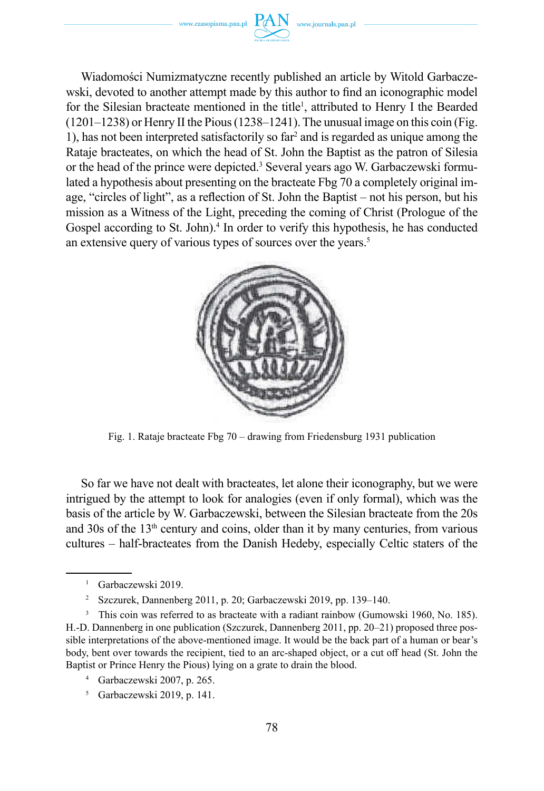www.czasopisma.pan.pl  $PAN$  www.journals.pan.pl

Wiadomości Numizmatyczne recently published an article by Witold Garbaczewski, devoted to another attempt made by this author to find an iconographic model for the Silesian bracteate mentioned in the title<sup>1</sup>, attributed to Henry I the Bearded  $(1201-1238)$  or Henry II the Pious  $(1238-1241)$ . The unusual image on this coin (Fig. 1), has not been interpreted satisfactorily so  $far<sup>2</sup>$  and is regarded as unique among the Rataje bracteates, on which the head of St. John the Baptist as the patron of Silesia or the head of the prince were depicted.<sup>3</sup> Several years ago W. Garbaczewski formulated a hypothesis about presenting on the bracteate Fbg 70 a completely original image, "circles of light", as a reflection of St. John the Baptist – not his person, but his mission as a Witness of the Light, preceding the coming of Christ (Prologue of the Gospel according to St. John).<sup>4</sup> In order to verify this hypothesis, he has conducted an extensive query of various types of sources over the years.<sup>5</sup>



Fig. 1. Rataje bracteate Fbg 70 – drawing from Friedensburg 1931 publication

So far we have not dealt with bracteates, let alone their iconography, but we were intrigued by the attempt to look for analogies (even if only formal), which was the basis of the article by W. Garbaczewski, between the Silesian bracteate from the 20s and  $30s$  of the  $13<sup>th</sup>$  century and coins, older than it by many centuries, from various cultures – half-bracteates from the Danish Hedeby, especially Celtic staters of the

1 Garbaczewski 2019.

2 Szczurek, Dannenberg 2011, p. 20; Garbaczewski 2019, pp. 139–140.

This coin was referred to as bracteate with a radiant rainbow (Gumowski 1960, No. 185). H.-D. Dannenberg in one publication (Szczurek, Dannenberg 2011, pp. 20–21) proposed three possible interpretations of the above-mentioned image. It would be the back part of a human or bear's body, bent over towards the recipient, tied to an arc-shaped object, or a cut off head (St. John the Baptist or Prince Henry the Pious) lying on a grate to drain the blood.

<sup>4</sup> Garbaczewski 2007, p. 265.

<sup>5</sup> Garbaczewski 2019, p. 141.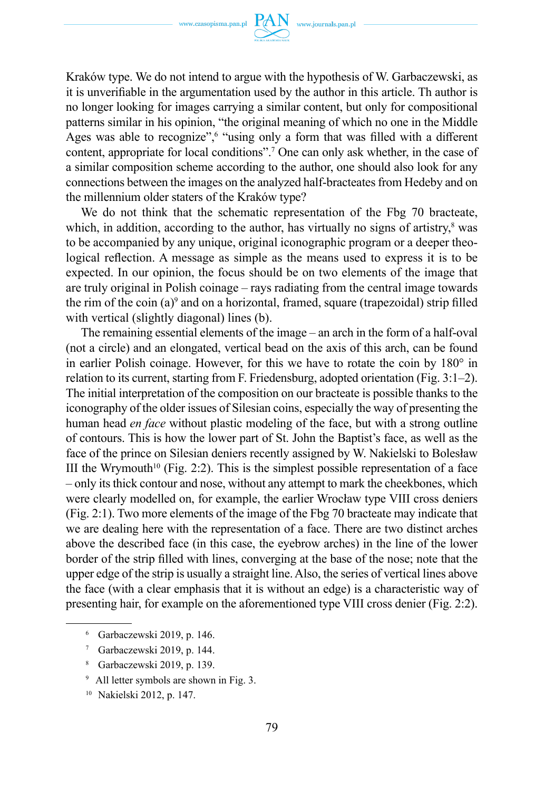

Kraków type. We do not intend to argue with the hypothesis of W. Garbaczewski, as it is unverifiable in the argumentation used by the author in this article. Th author is no longer looking for images carrying a similar content, but only for compositional patterns similar in his opinion, "the original meaning of which no one in the Middle Ages was able to recognize",<sup>6</sup> "using only a form that was filled with a different content, appropriate for local conditions".<sup>7</sup> One can only ask whether, in the case of a similar composition scheme according to the author, one should also look for any connections between the images on the analyzed half-bracteates from Hedeby and on the millennium older staters of the Kraków type?

We do not think that the schematic representation of the Fbg 70 bracteate, which, in addition, according to the author, has virtually no signs of artistry,<sup>8</sup> was to be accompanied by any unique, original iconographic program or a deeper theological reflection. A message as simple as the means used to express it is to be expected. In our opinion, the focus should be on two elements of the image that are truly original in Polish coinage – rays radiating from the central image towards the rim of the coin (a) $^9$  and on a horizontal, framed, square (trapezoidal) strip filled with vertical (slightly diagonal) lines (b).

The remaining essential elements of the image – an arch in the form of a half-oval (not a circle) and an elongated, vertical bead on the axis of this arch, can be found in earlier Polish coinage. However, for this we have to rotate the coin by 180° in relation to its current, starting from F. Friedensburg, adopted orientation (Fig. 3:1–2). The initial interpretation of the composition on our bracteate is possible thanks to the iconography of the older issues of Silesian coins, especially the way of presenting the human head *en face* without plastic modeling of the face, but with a strong outline of contours. This is how the lower part of St. John the Baptist's face, as well as the face of the prince on Silesian deniers recently assigned by W. Nakielski to Bolesław III the Wrymouth<sup>10</sup> (Fig. 2:2). This is the simplest possible representation of a face – only its thick contour and nose, without any attempt to mark the cheekbones, which were clearly modelled on, for example, the earlier Wrocław type VIII cross deniers (Fig. 2:1). Two more elements of the image of the Fbg 70 bracteate may indicate that we are dealing here with the representation of a face. There are two distinct arches above the described face (in this case, the eyebrow arches) in the line of the lower border of the strip filled with lines, converging at the base of the nose; note that the upper edge of the strip is usually a straight line. Also, the series of vertical lines above the face (with a clear emphasis that it is without an edge) is a characteristic way of presenting hair, for example on the aforementioned type VIII cross denier (Fig. 2:2).

- 6 Garbaczewski 2019, p. 146.
- <sup>7</sup> Garbaczewski 2019, p. 144.
- Garbaczewski 2019, p. 139.
- <sup>9</sup> All letter symbols are shown in Fig. 3.
- 10 Nakielski 2012, p. 147.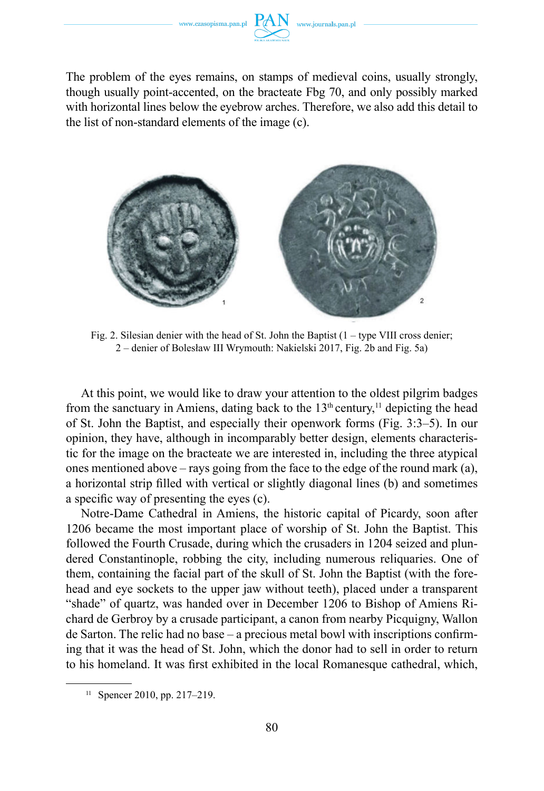

The problem of the eyes remains, on stamps of medieval coins, usually strongly, though usually point-accented, on the bracteate Fbg 70, and only possibly marked with horizontal lines below the eyebrow arches. Therefore, we also add this detail to the list of non-standard elements of the image (c).



Fig. 2. Silesian denier with the head of St. John the Baptist  $(1 - type VIII cross denier;$ 2 – denier of Bolesław III Wrymouth: Nakielski 2017, Fig. 2b and Fig. 5a)

At this point, we would like to draw your attention to the oldest pilgrim badges from the sanctuary in Amiens, dating back to the  $13<sup>th</sup>$  century,<sup>11</sup> depicting the head of St. John the Baptist, and especially their openwork forms (Fig. 3:3–5). In our opinion, they have, although in incomparably better design, elements characteristic for the image on the bracteate we are interested in, including the three atypical ones mentioned above – rays going from the face to the edge of the round mark (a), a horizontal strip filled with vertical or slightly diagonal lines (b) and sometimes a specific way of presenting the eyes (c).

Notre-Dame Cathedral in Amiens, the historic capital of Picardy, soon after 1206 became the most important place of worship of St. John the Baptist. This followed the Fourth Crusade, during which the crusaders in 1204 seized and plundered Constantinople, robbing the city, including numerous reliquaries. One of them, containing the facial part of the skull of St. John the Baptist (with the forehead and eye sockets to the upper jaw without teeth), placed under a transparent "shade" of quartz, was handed over in December 1206 to Bishop of Amiens Richard de Gerbroy by a crusade participant, a canon from nearby Picquigny, Wallon de Sarton. The relic had no base – a precious metal bowl with inscriptions confirming that it was the head of St. John, which the donor had to sell in order to return to his homeland. It was first exhibited in the local Romanesque cathedral, which,

 $11$  Spencer 2010, pp. 217–219.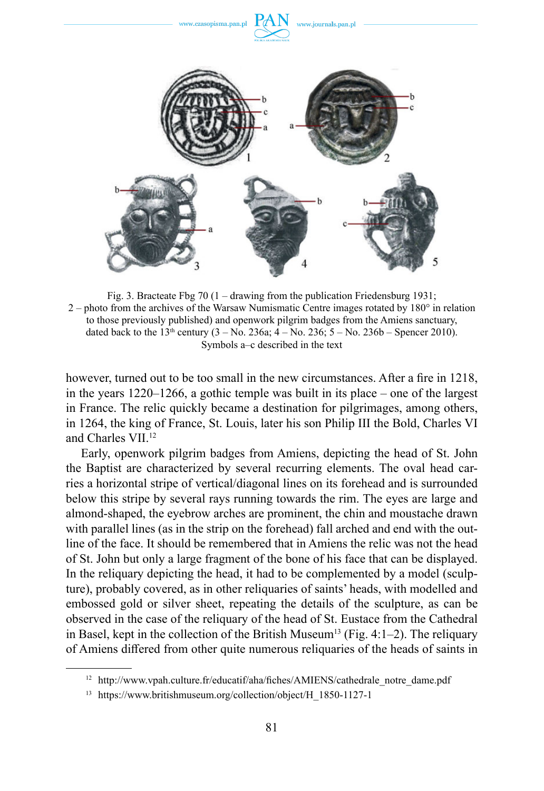

Fig. 3. Bracteate Fbg 70 (1 – drawing from the publication Friedensburg 1931;  $2$  – photo from the archives of the Warsaw Numismatic Centre images rotated by  $180^\circ$  in relation to those previously published) and openwork pilgrim badges from the Amiens sanctuary, dated back to the  $13<sup>th</sup>$  century (3 – No. 236a; 4 – No. 236; 5 – No. 236b – Spencer 2010). Symbols a–c described in the text

however, turned out to be too small in the new circumstances. After a fire in 1218, in the years 1220–1266, a gothic temple was built in its place – one of the largest in France. The relic quickly became a destination for pilgrimages, among others, in 1264, the king of France, St. Louis, later his son Philip III the Bold, Charles VI and Charles VII.12

Early, openwork pilgrim badges from Amiens, depicting the head of St. John the Baptist are characterized by several recurring elements. The oval head carries a horizontal stripe of vertical/diagonal lines on its forehead and is surrounded below this stripe by several rays running towards the rim. The eyes are large and almond-shaped, the eyebrow arches are prominent, the chin and moustache drawn with parallel lines (as in the strip on the forehead) fall arched and end with the outline of the face. It should be remembered that in Amiens the relic was not the head of St. John but only a large fragment of the bone of his face that can be displayed. In the reliquary depicting the head, it had to be complemented by a model (sculpture), probably covered, as in other reliquaries of saints' heads, with modelled and embossed gold or silver sheet, repeating the details of the sculpture, as can be observed in the case of the reliquary of the head of St. Eustace from the Cathedral in Basel, kept in the collection of the British Museum<sup>13</sup> (Fig. 4:1–2). The reliquary of Amiens differed from other quite numerous reliquaries of the heads of saints in

<sup>&</sup>lt;sup>12</sup> http://www.vpah.culture.fr/educatif/aha/fiches/AMIENS/cathedrale\_notre\_dame.pdf

<sup>13</sup> https://www.britishmuseum.org/collection/object/H\_1850-1127-1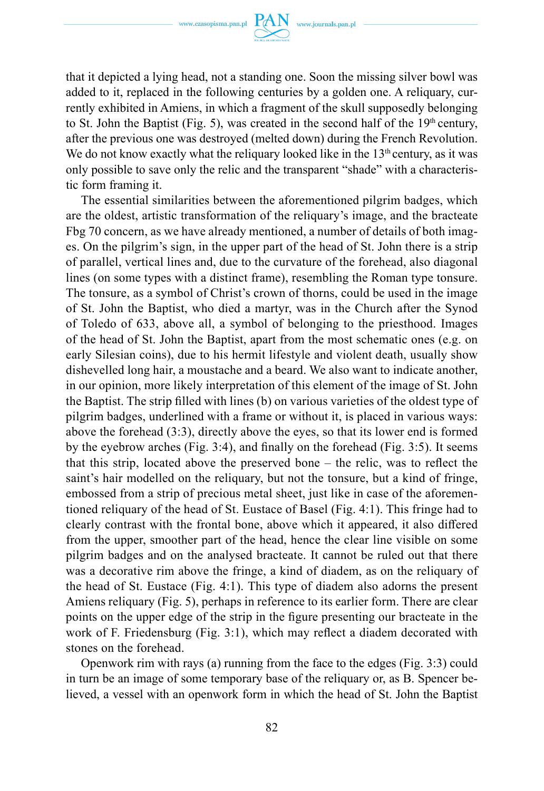

that it depicted a lying head, not a standing one. Soon the missing silver bowl was added to it, replaced in the following centuries by a golden one. A reliquary, currently exhibited in Amiens, in which a fragment of the skull supposedly belonging to St. John the Baptist (Fig. 5), was created in the second half of the  $19<sup>th</sup>$  century, after the previous one was destroyed (melted down) during the French Revolution. We do not know exactly what the reliquary looked like in the  $13<sup>th</sup>$  century, as it was only possible to save only the relic and the transparent "shade" with a characteristic form framing it.

The essential similarities between the aforementioned pilgrim badges, which are the oldest, artistic transformation of the reliquary's image, and the bracteate Fbg 70 concern, as we have already mentioned, a number of details of both images. On the pilgrim's sign, in the upper part of the head of St. John there is a strip of parallel, vertical lines and, due to the curvature of the forehead, also diagonal lines (on some types with a distinct frame), resembling the Roman type tonsure. The tonsure, as a symbol of Christ's crown of thorns, could be used in the image of St. John the Baptist, who died a martyr, was in the Church after the Synod of Toledo of 633, above all, a symbol of belonging to the priesthood. Images of the head of St. John the Baptist, apart from the most schematic ones (e.g. on early Silesian coins), due to his hermit lifestyle and violent death, usually show dishevelled long hair, a moustache and a beard. We also want to indicate another, in our opinion, more likely interpretation of this element of the image of St. John the Baptist. The strip filled with lines (b) on various varieties of the oldest type of pilgrim badges, underlined with a frame or without it, is placed in various ways: above the forehead (3:3), directly above the eyes, so that its lower end is formed by the eyebrow arches (Fig. 3:4), and finally on the forehead (Fig. 3:5). It seems that this strip, located above the preserved bone – the relic, was to reflect the saint's hair modelled on the reliquary, but not the tonsure, but a kind of fringe, embossed from a strip of precious metal sheet, just like in case of the aforementioned reliquary of the head of St. Eustace of Basel (Fig. 4:1). This fringe had to clearly contrast with the frontal bone, above which it appeared, it also differed from the upper, smoother part of the head, hence the clear line visible on some pilgrim badges and on the analysed bracteate. It cannot be ruled out that there was a decorative rim above the fringe, a kind of diadem, as on the reliquary of the head of St. Eustace (Fig. 4:1). This type of diadem also adorns the present Amiens reliquary (Fig. 5), perhaps in reference to its earlier form. There are clear points on the upper edge of the strip in the figure presenting our bracteate in the work of F. Friedensburg (Fig. 3:1), which may reflect a diadem decorated with stones on the forehead.

Openwork rim with rays (a) running from the face to the edges (Fig. 3:3) could in turn be an image of some temporary base of the reliquary or, as B. Spencer believed, a vessel with an openwork form in which the head of St. John the Baptist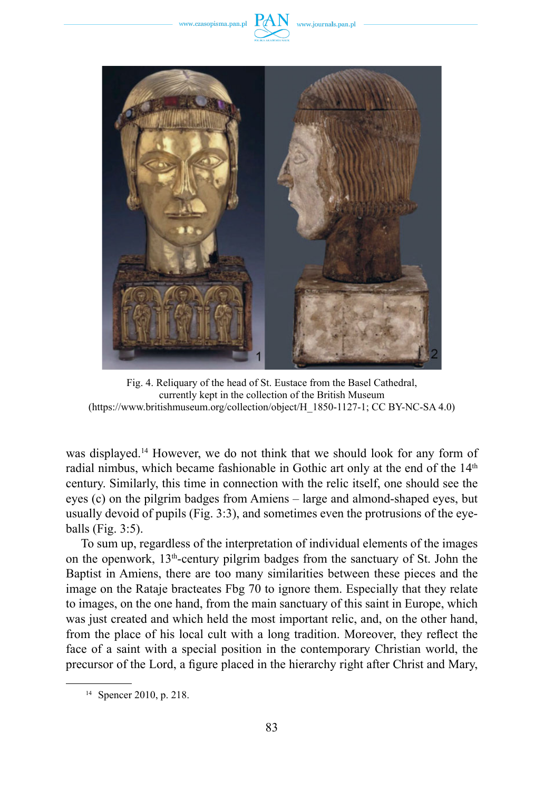www.czasopisma.pan.pl



Fig. 4. Reliquary of the head of St. Eustace from the Basel Cathedral, currently kept in the collection of the British Museum (https://www.britishmuseum.org/collection/object/H\_1850-1127-1; CC BY-NC-SA 4.0)

was displayed.14 However, we do not think that we should look for any form of radial nimbus, which became fashionable in Gothic art only at the end of the 14<sup>th</sup> century. Similarly, this time in connection with the relic itself, one should see the eyes (c) on the pilgrim badges from Amiens – large and almond-shaped eyes, but usually devoid of pupils (Fig. 3:3), and sometimes even the protrusions of the eyeballs (Fig. 3:5).

To sum up, regardless of the interpretation of individual elements of the images on the openwork,  $13<sup>th</sup>$ -century pilgrim badges from the sanctuary of St. John the Baptist in Amiens, there are too many similarities between these pieces and the image on the Rataje bracteates Fbg 70 to ignore them. Especially that they relate to images, on the one hand, from the main sanctuary of this saint in Europe, which was just created and which held the most important relic, and, on the other hand, from the place of his local cult with a long tradition. Moreover, they reflect the face of a saint with a special position in the contemporary Christian world, the precursor of the Lord, a figure placed in the hierarchy right after Christ and Mary,

<sup>14</sup> Spencer 2010, p. 218.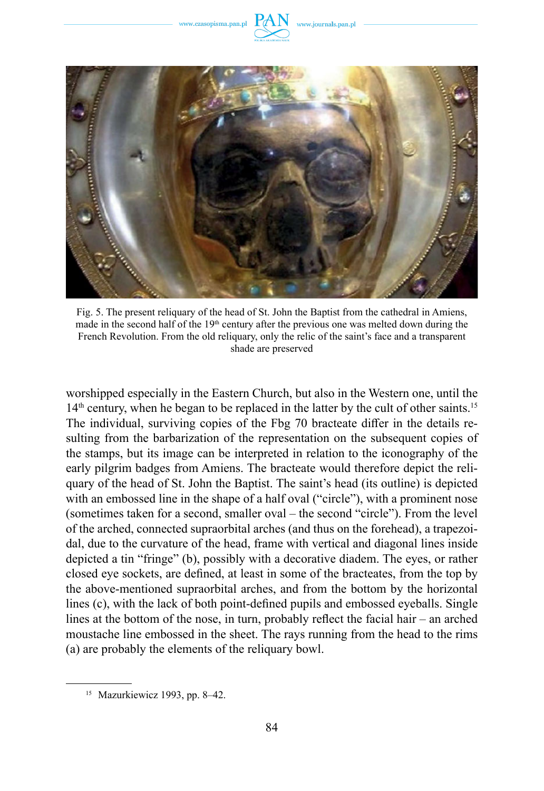www.czasopisma.pan.pl



Fig. 5. The present reliquary of the head of St. John the Baptist from the cathedral in Amiens, made in the second half of the 19<sup>th</sup> century after the previous one was melted down during the French Revolution. From the old reliquary, only the relic of the saint's face and a transparent shade are preserved

worshipped especially in the Eastern Church, but also in the Western one, until the  $14<sup>th</sup>$  century, when he began to be replaced in the latter by the cult of other saints.<sup>15</sup> The individual, surviving copies of the Fbg 70 bracteate differ in the details resulting from the barbarization of the representation on the subsequent copies of the stamps, but its image can be interpreted in relation to the iconography of the early pilgrim badges from Amiens. The bracteate would therefore depict the reliquary of the head of St. John the Baptist. The saint's head (its outline) is depicted with an embossed line in the shape of a half oval ("circle"), with a prominent nose (sometimes taken for a second, smaller oval – the second "circle"). From the level of the arched, connected supraorbital arches (and thus on the forehead), a trapezoidal, due to the curvature of the head, frame with vertical and diagonal lines inside depicted a tin "fringe" (b), possibly with a decorative diadem. The eyes, or rather closed eye sockets, are defined, at least in some of the bracteates, from the top by the above-mentioned supraorbital arches, and from the bottom by the horizontal lines (c), with the lack of both point-defined pupils and embossed eyeballs. Single lines at the bottom of the nose, in turn, probably reflect the facial hair – an arched moustache line embossed in the sheet. The rays running from the head to the rims (a) are probably the elements of the reliquary bowl.

<sup>15</sup> Mazurkiewicz 1993, pp. 8–42.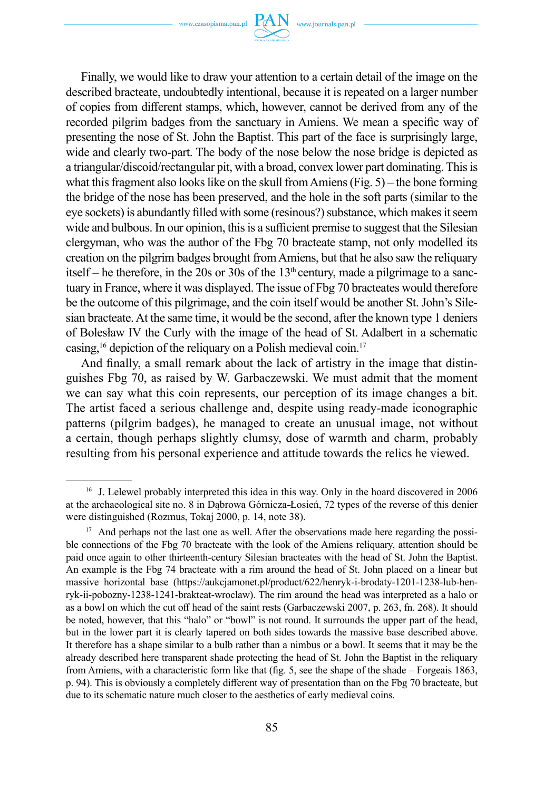

Finally, we would like to draw your attention to a certain detail of the image on the described bracteate, undoubtedly intentional, because it is repeated on a larger number of copies from different stamps, which, however, cannot be derived from any of the recorded pilgrim badges from the sanctuary in Amiens. We mean a specific way of presenting the nose of St. John the Baptist. This part of the face is surprisingly large, wide and clearly two-part. The body of the nose below the nose bridge is depicted as a triangular/discoid/rectangular pit, with a broad, convex lower part dominating. This is what this fragment also looks like on the skull from Amiens (Fig. 5) – the bone forming the bridge of the nose has been preserved, and the hole in the soft parts (similar to the eye sockets) is abundantly filled with some (resinous?) substance, which makes it seem wide and bulbous. In our opinion, this is a sufficient premise to suggest that the Silesian clergyman, who was the author of the Fbg 70 bracteate stamp, not only modelled its creation on the pilgrim badges brought from Amiens, but that he also saw the reliquary itself – he therefore, in the 20s or 30s of the  $13<sup>th</sup>$  century, made a pilgrimage to a sanctuary in France, where it was displayed. The issue of Fbg 70 bracteates would therefore be the outcome of this pilgrimage, and the coin itself would be another St. John's Silesian bracteate. At the same time, it would be the second, after the known type 1 deniers of Bolesław IV the Curly with the image of the head of St. Adalbert in a schematic casing,  $16$  depiction of the reliquary on a Polish medieval coin.<sup>17</sup>

And finally, a small remark about the lack of artistry in the image that distinguishes Fbg 70, as raised by W. Garbaczewski. We must admit that the moment we can say what this coin represents, our perception of its image changes a bit. The artist faced a serious challenge and, despite using ready-made iconographic patterns (pilgrim badges), he managed to create an unusual image, not without a certain, though perhaps slightly clumsy, dose of warmth and charm, probably resulting from his personal experience and attitude towards the relics he viewed.

<sup>&</sup>lt;sup>16</sup> J. Lelewel probably interpreted this idea in this way. Only in the hoard discovered in 2006 at the archaeological site no. 8 in Dąbrowa Górnicza-Łosień, 72 types of the reverse of this denier were distinguished (Rozmus, Tokaj 2000, p. 14, note 38).

<sup>&</sup>lt;sup>17</sup> And perhaps not the last one as well. After the observations made here regarding the possible connections of the Fbg 70 bracteate with the look of the Amiens reliquary, attention should be paid once again to other thirteenth-century Silesian bracteates with the head of St. John the Baptist. An example is the Fbg 74 bracteate with a rim around the head of St. John placed on a linear but massive horizontal base (https://aukcjamonet.pl/product/622/henryk-i-brodaty-1201-1238-lub-henryk-ii-pobozny-1238-1241-brakteat-wroclaw). The rim around the head was interpreted as a halo or as a bowl on which the cut off head of the saint rests (Garbaczewski 2007, p. 263, fn. 268). It should be noted, however, that this "halo" or "bowl" is not round. It surrounds the upper part of the head, but in the lower part it is clearly tapered on both sides towards the massive base described above. It therefore has a shape similar to a bulb rather than a nimbus or a bowl. It seems that it may be the already described here transparent shade protecting the head of St. John the Baptist in the reliquary from Amiens, with a characteristic form like that (fig. 5, see the shape of the shade – Forgeais 1863, p. 94). This is obviously a completely different way of presentation than on the Fbg 70 bracteate, but due to its schematic nature much closer to the aesthetics of early medieval coins.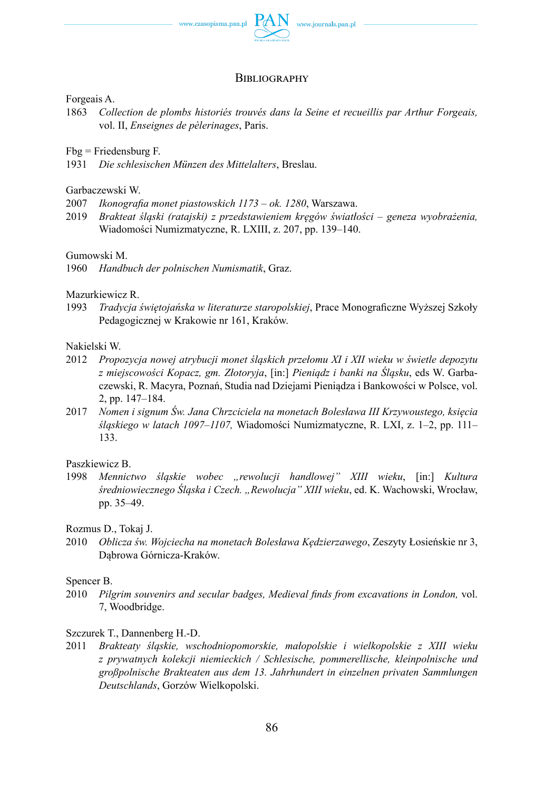

### **BIBLIOGRAPHY**

#### Forgeais A.

1863 *Collection de plombs historiés trouvés dans la Seine et recueillis par Arthur Forgeais,*  vol. II, *Enseignes de pèlerinages*, Paris.

Fbg = Friedensburg F.

1931 *Die schlesischen Münzen des Mittelalters*, Breslau.

#### Garbaczewski W.

- 2007 *Ikonografia monet piastowskich 1173 – ok. 1280*, Warszawa.
- 2019 *Brakteat śląski (ratajski) z przedstawieniem kręgów światłości – geneza wyobrażenia,*  Wiadomości Numizmatyczne, R. LXIII, z. 207, pp. 139–140.

Gumowski M.

1960 *Handbuch der polnischen Numismatik*, Graz.

Mazurkiewicz R.

1993 *Tradycja świętojańska w literaturze staropolskiej*, Prace Monograficzne Wyższej Szkoły Pedagogicznej w Krakowie nr 161, Kraków.

#### Nakielski W.

- 2012 *Propozycja nowej atrybucji monet śląskich przełomu XI i XII wieku w świetle depozytu z miejscowości Kopacz, gm. Złotoryja*, [in:] *Pieniądz i banki na Śląsku*, eds W. Garbaczewski, R. Macyra, Poznań, Studia nad Dziejami Pieniądza i Bankowości w Polsce, vol. 2, pp. 147–184.
- 2017 *Nomen i signum Św. Jana Chrzciciela na monetach Bolesława III Krzywoustego, księcia śląskiego w latach 1097–1107,* Wiadomości Numizmatyczne, R. LXI, z. 1–2, pp. 111– 133.

#### Paszkiewicz B.

1998 *Mennictwo śląskie wobec "rewolucji handlowej" XIII wieku*, [in:] *Kultura średniowiecznego Śląska i Czech. "Rewolucja" XIII wieku*, ed. K. Wachowski, Wrocław, pp. 35–49.

Rozmus D., Tokaj J.

2010 *Oblicza św. Wojciecha na monetach Bolesława Kędzierzawego*, Zeszyty Łosieńskie nr 3, Dąbrowa Górnicza-Kraków.

#### Spencer B.

2010 *Pilgrim souvenirs and secular badges, Medieval finds from excavations in London,* vol. 7, Woodbridge.

### Szczurek T., Dannenberg H.-D.

2011 *Brakteaty śląskie, wschodniopomorskie, małopolskie i wielkopolskie z XIII wieku z prywatnych kolekcji niemieckich / Schlesische, pommerellische, kleinpolnische und großpolnische Brakteaten aus dem 13. Jahrhundert in einzelnen privaten Sammlungen Deutschlands*, Gorzów Wielkopolski.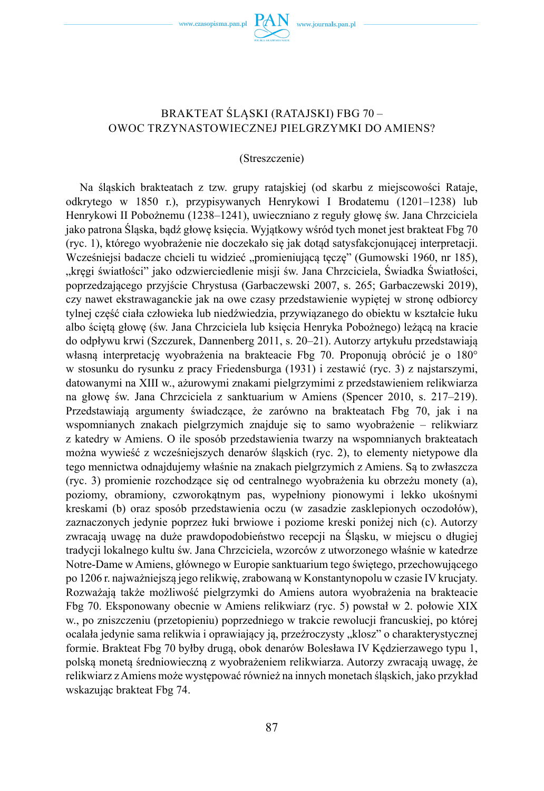www.czasopisma.pan.pl

## BRAKTEAT ŚLĄSKI (RATAJSKI) FBG 70 – OWOC TRZYNASTOWIECZNEJ PIELGRZYMKI DO AMIENS?

#### (Streszczenie)

Na śląskich brakteatach z tzw. grupy ratajskiej (od skarbu z miejscowości Rataje, odkrytego w 1850 r.), przypisywanych Henrykowi I Brodatemu (1201–1238) lub Henrykowi II Pobożnemu (1238–1241), uwieczniano z reguły głowę św. Jana Chrzciciela jako patrona Śląska, bądź głowę księcia. Wyjątkowy wśród tych monet jest brakteat Fbg 70 (ryc. 1), którego wyobrażenie nie doczekało się jak dotąd satysfakcjonującej interpretacji. Wcześniejsi badacze chcieli tu widzieć "promieniującą tęczę" (Gumowski 1960, nr 185), "kręgi światłości" jako odzwierciedlenie misji św. Jana Chrzciciela, Świadka Światłości, poprzedzającego przyjście Chrystusa (Garbaczewski 2007, s. 265; Garbaczewski 2019), czy nawet ekstrawaganckie jak na owe czasy przedstawienie wypiętej w stronę odbiorcy tylnej część ciała człowieka lub niedźwiedzia, przywiązanego do obiektu w kształcie łuku albo ściętą głowę (św. Jana Chrzciciela lub księcia Henryka Pobożnego) leżącą na kracie do odpływu krwi (Szczurek, Dannenberg 2011, s. 20–21). Autorzy artykułu przedstawiają własną interpretację wyobrażenia na brakteacie Fbg 70. Proponują obrócić je o 180° w stosunku do rysunku z pracy Friedensburga (1931) i zestawić (ryc. 3) z najstarszymi, datowanymi na XIII w., ażurowymi znakami pielgrzymimi z przedstawieniem relikwiarza na głowę św. Jana Chrzciciela z sanktuarium w Amiens (Spencer 2010, s. 217–219). Przedstawiają argumenty świadczące, że zarówno na brakteatach Fbg 70, jak i na wspomnianych znakach pielgrzymich znajduje się to samo wyobrażenie – relikwiarz z katedry w Amiens. O ile sposób przedstawienia twarzy na wspomnianych brakteatach można wywieść z wcześniejszych denarów śląskich (ryc. 2), to elementy nietypowe dla tego mennictwa odnajdujemy właśnie na znakach pielgrzymich z Amiens. Są to zwłaszcza (ryc. 3) promienie rozchodzące się od centralnego wyobrażenia ku obrzeżu monety (a), poziomy, obramiony, czworokątnym pas, wypełniony pionowymi i lekko ukośnymi kreskami (b) oraz sposób przedstawienia oczu (w zasadzie zasklepionych oczodołów), zaznaczonych jedynie poprzez łuki brwiowe i poziome kreski poniżej nich (c). Autorzy zwracają uwagę na duże prawdopodobieństwo recepcji na Śląsku, w miejscu o długiej tradycji lokalnego kultu św. Jana Chrzciciela, wzorców z utworzonego właśnie w katedrze Notre-Dame w Amiens, głównego w Europie sanktuarium tego świętego, przechowującego po 1206 r. najważniejszą jego relikwię, zrabowaną w Konstantynopolu w czasie IV krucjaty. Rozważają także możliwość pielgrzymki do Amiens autora wyobrażenia na brakteacie Fbg 70. Eksponowany obecnie w Amiens relikwiarz (ryc. 5) powstał w 2. połowie XIX w., po zniszczeniu (przetopieniu) poprzedniego w trakcie rewolucji francuskiej, po której ocalała jedynie sama relikwia i oprawiający ją, przeźroczysty "klosz" o charakterystycznej formie. Brakteat Fbg 70 byłby drugą, obok denarów Bolesława IV Kędzierzawego typu 1, polską monetą średniowieczną z wyobrażeniem relikwiarza. Autorzy zwracają uwagę, że relikwiarz zAmiens może występować również na innych monetach śląskich, jako przykład wskazując brakteat Fbg 74.